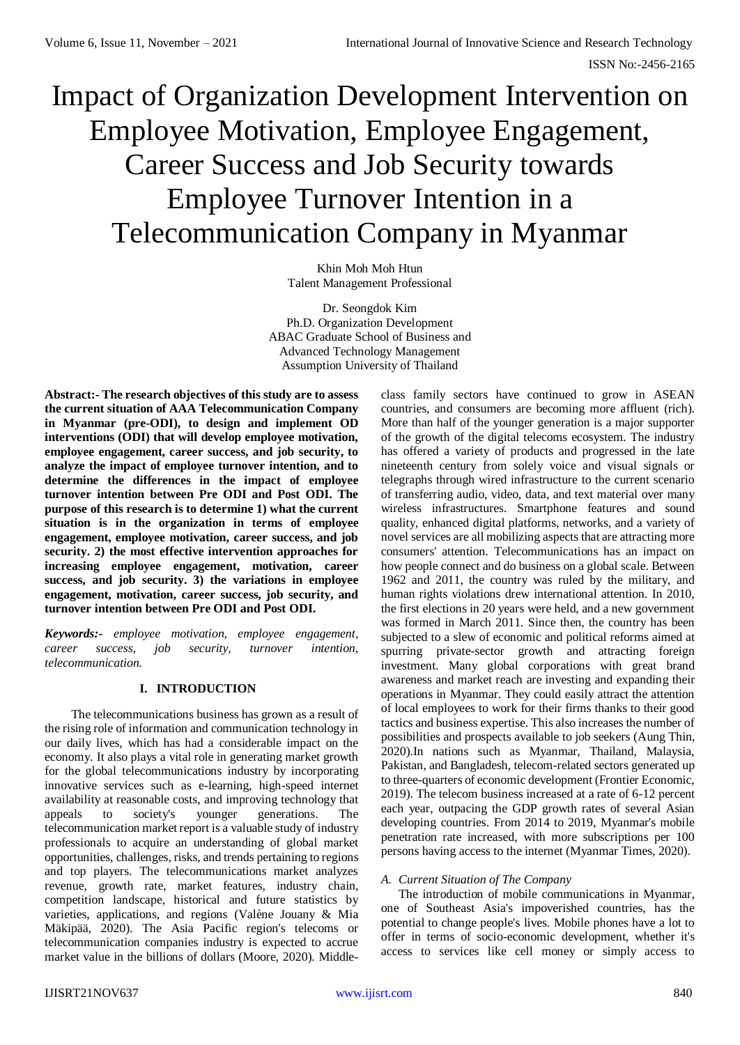# Impact of Organization Development Intervention on Employee Motivation, Employee Engagement, Career Success and Job Security towards Employee Turnover Intention in a Telecommunication Company in Myanmar

Khin Moh Moh Htun Talent Management Professional

Dr. Seongdok Kim Ph.D. Organization Development ABAC Graduate School of Business and Advanced Technology Management Assumption University of Thailand

**Abstract:- The research objectives of this study are to assess the current situation of AAA Telecommunication Company in Myanmar (pre-ODI), to design and implement OD interventions (ODI) that will develop employee motivation, employee engagement, career success, and job security, to analyze the impact of employee turnover intention, and to determine the differences in the impact of employee turnover intention between Pre ODI and Post ODI. The purpose of this research is to determine 1) what the current situation is in the organization in terms of employee engagement, employee motivation, career success, and job security. 2) the most effective intervention approaches for increasing employee engagement, motivation, career success, and job security. 3) the variations in employee engagement, motivation, career success, job security, and turnover intention between Pre ODI and Post ODI.**

*Keywords:- employee motivation, employee engagement, career success, job security, turnover intention, telecommunication.*

# **I. INTRODUCTION**

The telecommunications business has grown as a result of the rising role of information and communication technology in our daily lives, which has had a considerable impact on the economy. It also plays a vital role in generating market growth for the global telecommunications industry by incorporating innovative services such as e-learning, high-speed internet availability at reasonable costs, and improving technology that appeals to society's younger generations. The telecommunication market report is a valuable study of industry professionals to acquire an understanding of global market opportunities, challenges, risks, and trends pertaining to regions and top players. The telecommunications market analyzes revenue, growth rate, market features, industry chain, competition landscape, historical and future statistics by varieties, applications, and regions (Valène Jouany & Mia Mäkipää, 2020). The Asia Pacific region's telecoms or telecommunication companies industry is expected to accrue market value in the billions of dollars (Moore, 2020). Middleclass family sectors have continued to grow in ASEAN countries, and consumers are becoming more affluent (rich). More than half of the younger generation is a major supporter of the growth of the digital telecoms ecosystem. The industry has offered a variety of products and progressed in the late nineteenth century from solely voice and visual signals or telegraphs through wired infrastructure to the current scenario of transferring audio, video, data, and text material over many wireless infrastructures. Smartphone features and sound quality, enhanced digital platforms, networks, and a variety of novel services are all mobilizing aspects that are attracting more consumers' attention. Telecommunications has an impact on how people connect and do business on a global scale. Between 1962 and 2011, the country was ruled by the military, and human rights violations drew international attention. In 2010, the first elections in 20 years were held, and a new government was formed in March 2011. Since then, the country has been subjected to a slew of economic and political reforms aimed at spurring private-sector growth and attracting foreign investment. Many global corporations with great brand awareness and market reach are investing and expanding their operations in Myanmar. They could easily attract the attention of local employees to work for their firms thanks to their good tactics and business expertise. This also increases the number of possibilities and prospects available to job seekers (Aung Thin, 2020).In nations such as Myanmar, Thailand, Malaysia, Pakistan, and Bangladesh, telecom-related sectors generated up to three-quarters of economic development (Frontier Economic, 2019). The telecom business increased at a rate of 6-12 percent each year, outpacing the GDP growth rates of several Asian developing countries. From 2014 to 2019, Myanmar's mobile penetration rate increased, with more subscriptions per 100 persons having access to the internet (Myanmar Times, 2020).

#### *A. Current Situation of The Company*

The introduction of mobile communications in Myanmar, one of Southeast Asia's impoverished countries, has the potential to change people's lives. Mobile phones have a lot to offer in terms of socio-economic development, whether it's access to services like cell money or simply access to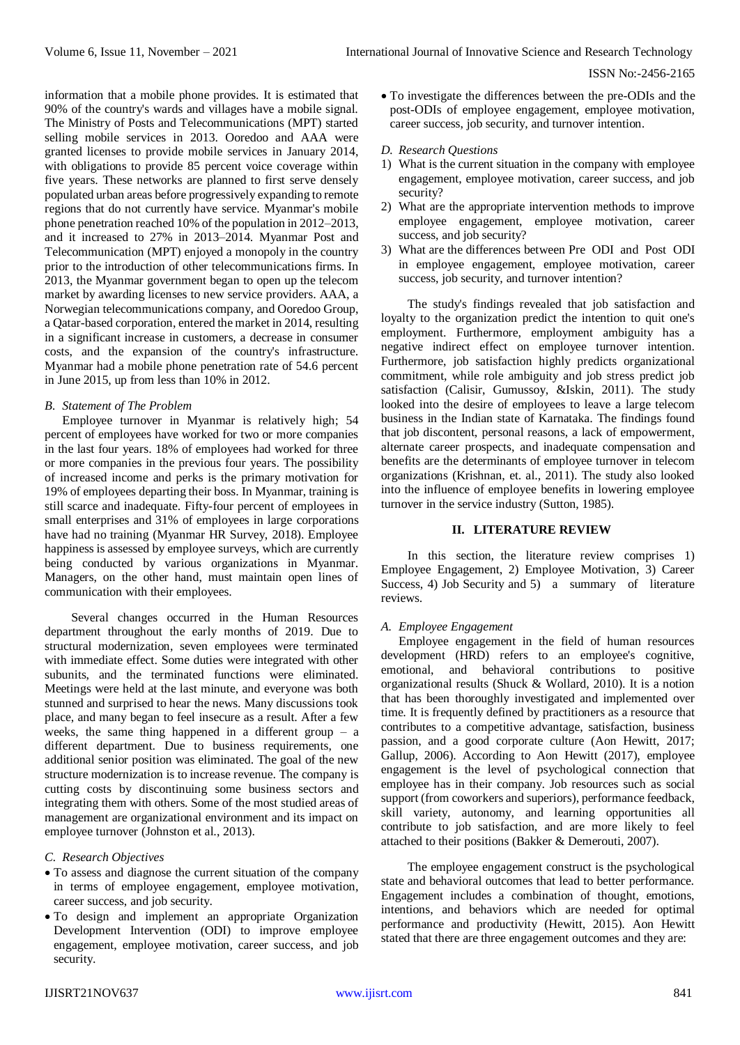information that a mobile phone provides. It is estimated that 90% of the country's wards and villages have a mobile signal. The Ministry of Posts and Telecommunications (MPT) started selling mobile services in 2013. Ooredoo and AAA were granted licenses to provide mobile services in January 2014, with obligations to provide 85 percent voice coverage within five years. These networks are planned to first serve densely populated urban areas before progressively expanding to remote regions that do not currently have service. Myanmar's mobile phone penetration reached 10% of the population in 2012–2013, and it increased to 27% in 2013–2014. Myanmar Post and Telecommunication (MPT) enjoyed a monopoly in the country prior to the introduction of other telecommunications firms. In 2013, the Myanmar government began to open up the telecom market by awarding licenses to new service providers. AAA, a Norwegian telecommunications company, and Ooredoo Group, a Qatar-based corporation, entered the market in 2014, resulting in a significant increase in customers, a decrease in consumer costs, and the expansion of the country's infrastructure. Myanmar had a mobile phone penetration rate of 54.6 percent in June 2015, up from less than 10% in 2012.

## *B. Statement of The Problem*

Employee turnover in Myanmar is relatively high; 54 percent of employees have worked for two or more companies in the last four years. 18% of employees had worked for three or more companies in the previous four years. The possibility of increased income and perks is the primary motivation for 19% of employees departing their boss. In Myanmar, training is still scarce and inadequate. Fifty-four percent of employees in small enterprises and 31% of employees in large corporations have had no training (Myanmar HR Survey, 2018). Employee happiness is assessed by employee surveys, which are currently being conducted by various organizations in Myanmar. Managers, on the other hand, must maintain open lines of communication with their employees.

Several changes occurred in the Human Resources department throughout the early months of 2019. Due to structural modernization, seven employees were terminated with immediate effect. Some duties were integrated with other subunits, and the terminated functions were eliminated. Meetings were held at the last minute, and everyone was both stunned and surprised to hear the news. Many discussions took place, and many began to feel insecure as a result. After a few weeks, the same thing happened in a different group – a different department. Due to business requirements, one additional senior position was eliminated. The goal of the new structure modernization is to increase revenue. The company is cutting costs by discontinuing some business sectors and integrating them with others. Some of the most studied areas of management are organizational environment and its impact on employee turnover (Johnston et al., 2013).

# *C. Research Objectives*

- To assess and diagnose the current situation of the company in terms of employee engagement, employee motivation, career success, and job security.
- To design and implement an appropriate Organization Development Intervention (ODI) to improve employee engagement, employee motivation, career success, and job security.

 To investigate the differences between the pre-ODIs and the post-ODIs of employee engagement, employee motivation, career success, job security, and turnover intention.

## *D. Research Questions*

- 1) What is the current situation in the company with employee engagement, employee motivation, career success, and job security?
- 2) What are the appropriate intervention methods to improve employee engagement, employee motivation, career success, and job security?
- 3) What are the differences between Pre ODI and Post ODI in employee engagement, employee motivation, career success, job security, and turnover intention?

The study's findings revealed that job satisfaction and loyalty to the organization predict the intention to quit one's employment. Furthermore, employment ambiguity has a negative indirect effect on employee turnover intention. Furthermore, job satisfaction highly predicts organizational commitment, while role ambiguity and job stress predict job satisfaction (Calisir, Gumussoy, &Iskin, 2011). The study looked into the desire of employees to leave a large telecom business in the Indian state of Karnataka. The findings found that job discontent, personal reasons, a lack of empowerment, alternate career prospects, and inadequate compensation and benefits are the determinants of employee turnover in telecom organizations (Krishnan, et. al., 2011). The study also looked into the influence of employee benefits in lowering employee turnover in the service industry (Sutton, 1985).

# **II. LITERATURE REVIEW**

In this section, the literature review comprises 1) Employee Engagement, 2) Employee Motivation, 3) Career Success, 4) Job Security and 5) a summary of literature reviews.

# *A. Employee Engagement*

Employee engagement in the field of human resources development (HRD) refers to an employee's cognitive, emotional, and behavioral contributions to positive organizational results (Shuck & Wollard, 2010). It is a notion that has been thoroughly investigated and implemented over time. It is frequently defined by practitioners as a resource that contributes to a competitive advantage, satisfaction, business passion, and a good corporate culture (Aon Hewitt, 2017; Gallup, 2006). According to Aon Hewitt (2017), employee engagement is the level of psychological connection that employee has in their company. Job resources such as social support (from coworkers and superiors), performance feedback, skill variety, autonomy, and learning opportunities all contribute to job satisfaction, and are more likely to feel attached to their positions (Bakker & Demerouti, 2007).

The employee engagement construct is the psychological state and behavioral outcomes that lead to better performance. Engagement includes a combination of thought, emotions, intentions, and behaviors which are needed for optimal performance and productivity (Hewitt, 2015). Aon Hewitt stated that there are three engagement outcomes and they are: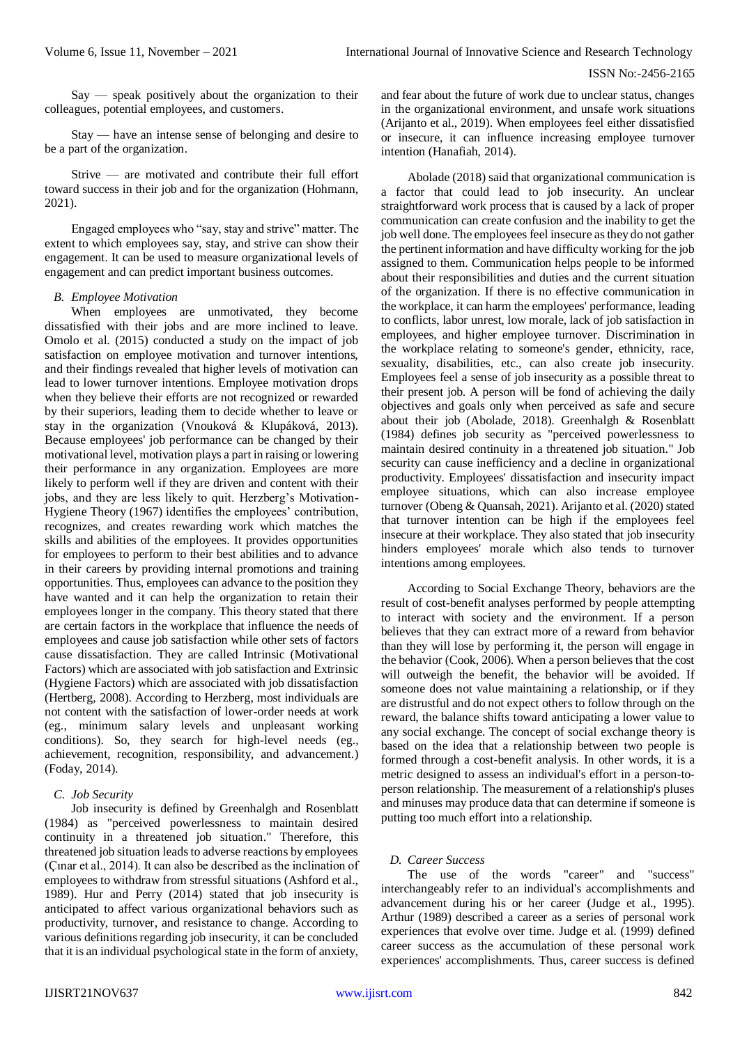Say — speak positively about the organization to their colleagues, potential employees, and customers.

Stay — have an intense sense of belonging and desire to be a part of the organization.

Strive — are motivated and contribute their full effort toward success in their job and for the organization (Hohmann, 2021).

Engaged employees who "say, stay and strive" matter. The extent to which employees say, stay, and strive can show their engagement. It can be used to measure organizational levels of engagement and can predict important business outcomes.

## *B. Employee Motivation*

When employees are unmotivated, they become dissatisfied with their jobs and are more inclined to leave. Omolo et al. (2015) conducted a study on the impact of job satisfaction on employee motivation and turnover intentions, and their findings revealed that higher levels of motivation can lead to lower turnover intentions. Employee motivation drops when they believe their efforts are not recognized or rewarded by their superiors, leading them to decide whether to leave or stay in the organization (Vnouková & Klupáková, 2013). Because employees' job performance can be changed by their motivational level, motivation plays a part in raising or lowering their performance in any organization. Employees are more likely to perform well if they are driven and content with their jobs, and they are less likely to quit. Herzberg's Motivation-Hygiene Theory (1967) identifies the employees' contribution, recognizes, and creates rewarding work which matches the skills and abilities of the employees. It provides opportunities for employees to perform to their best abilities and to advance in their careers by providing internal promotions and training opportunities. Thus, employees can advance to the position they have wanted and it can help the organization to retain their employees longer in the company. This theory stated that there are certain factors in the workplace that influence the needs of employees and cause job satisfaction while other sets of factors cause dissatisfaction. They are called Intrinsic (Motivational Factors) which are associated with job satisfaction and Extrinsic (Hygiene Factors) which are associated with job dissatisfaction (Hertberg, 2008). According to Herzberg, most individuals are not content with the satisfaction of lower-order needs at work (eg., minimum salary levels and unpleasant working conditions). So, they search for high-level needs (eg., achievement, recognition, responsibility, and advancement.) (Foday, 2014).

#### *C. Job Security*

Job insecurity is defined by Greenhalgh and Rosenblatt (1984) as "perceived powerlessness to maintain desired continuity in a threatened job situation." Therefore, this threatened job situation leads to adverse reactions by employees (Çınar et al., 2014). It can also be described as the inclination of employees to withdraw from stressful situations (Ashford et al., 1989). Hur and Perry (2014) stated that job insecurity is anticipated to affect various organizational behaviors such as productivity, turnover, and resistance to change. According to various definitions regarding job insecurity, it can be concluded that it is an individual psychological state in the form of anxiety,

and fear about the future of work due to unclear status, changes in the organizational environment, and unsafe work situations (Arijanto et al., 2019). When employees feel either dissatisfied or insecure, it can influence increasing employee turnover intention (Hanafiah, 2014).

Abolade (2018) said that organizational communication is a factor that could lead to job insecurity. An unclear straightforward work process that is caused by a lack of proper communication can create confusion and the inability to get the job well done. The employees feel insecure as they do not gather the pertinent information and have difficulty working for the job assigned to them. Communication helps people to be informed about their responsibilities and duties and the current situation of the organization. If there is no effective communication in the workplace, it can harm the employees' performance, leading to conflicts, labor unrest, low morale, lack of job satisfaction in employees, and higher employee turnover. Discrimination in the workplace relating to someone's gender, ethnicity, race, sexuality, disabilities, etc., can also create job insecurity. Employees feel a sense of job insecurity as a possible threat to their present job. A person will be fond of achieving the daily objectives and goals only when perceived as safe and secure about their job (Abolade, 2018). Greenhalgh & Rosenblatt (1984) defines job security as "perceived powerlessness to maintain desired continuity in a threatened job situation." Job security can cause inefficiency and a decline in organizational productivity. Employees' dissatisfaction and insecurity impact employee situations, which can also increase employee turnover (Obeng & Quansah, 2021). Arijanto et al. (2020) stated that turnover intention can be high if the employees feel insecure at their workplace. They also stated that job insecurity hinders employees' morale which also tends to turnover intentions among employees.

According to Social Exchange Theory, behaviors are the result of cost-benefit analyses performed by people attempting to interact with society and the environment. If a person believes that they can extract more of a reward from behavior than they will lose by performing it, the person will engage in the behavior (Cook, 2006). When a person believes that the cost will outweigh the benefit, the behavior will be avoided. If someone does not value maintaining a relationship, or if they are distrustful and do not expect others to follow through on the reward, the balance shifts toward anticipating a lower value to any social exchange. The concept of social exchange theory is based on the idea that a relationship between two people is formed through a cost-benefit analysis. In other words, it is a metric designed to assess an individual's effort in a person-toperson relationship. The measurement of a relationship's pluses and minuses may produce data that can determine if someone is putting too much effort into a relationship.

# *D. Career Success*

The use of the words "career" and "success" interchangeably refer to an individual's accomplishments and advancement during his or her career (Judge et al., 1995). Arthur (1989) described a career as a series of personal work experiences that evolve over time. Judge et al. (1999) defined career success as the accumulation of these personal work experiences' accomplishments. Thus, career success is defined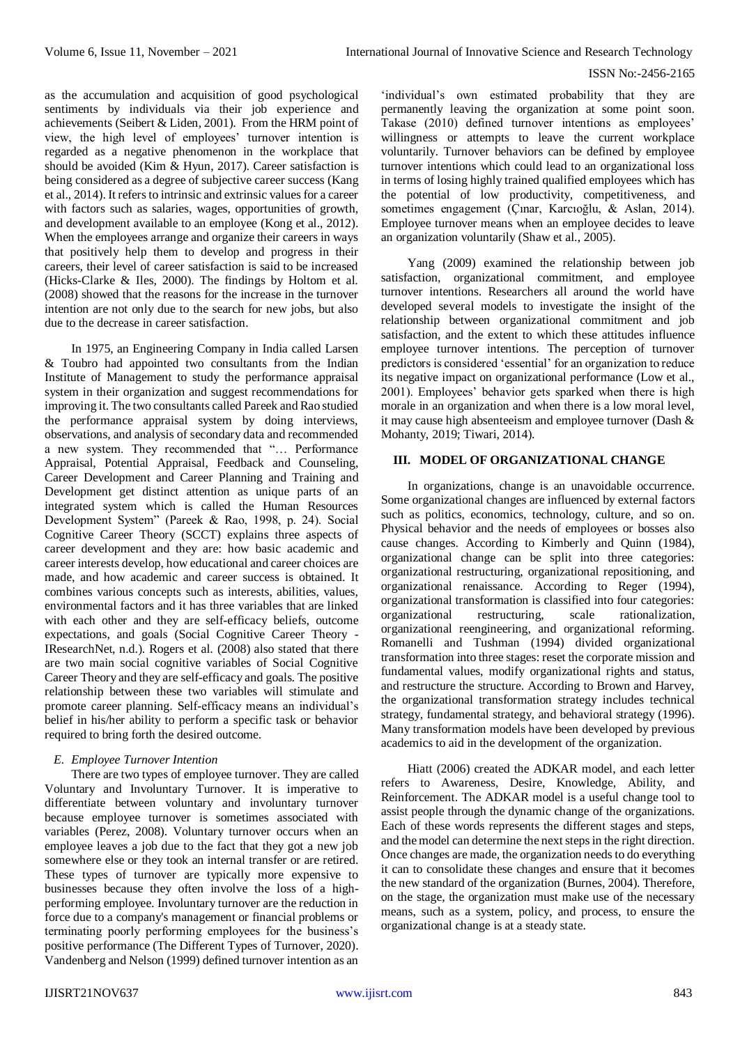as the accumulation and acquisition of good psychological sentiments by individuals via their job experience and achievements (Seibert & Liden, 2001). From the HRM point of view, the high level of employees' turnover intention is regarded as a negative phenomenon in the workplace that should be avoided (Kim & Hyun, 2017). Career satisfaction is being considered as a degree of subjective career success (Kang et al., 2014). It refers to intrinsic and extrinsic values for a career with factors such as salaries, wages, opportunities of growth, and development available to an employee (Kong et al., 2012). When the employees arrange and organize their careers in ways that positively help them to develop and progress in their careers, their level of career satisfaction is said to be increased (Hicks-Clarke & Iles, 2000). The findings by Holtom et al. (2008) showed that the reasons for the increase in the turnover intention are not only due to the search for new jobs, but also due to the decrease in career satisfaction.

In 1975, an Engineering Company in India called Larsen & Toubro had appointed two consultants from the Indian Institute of Management to study the performance appraisal system in their organization and suggest recommendations for improving it. The two consultants called Pareek and Rao studied the performance appraisal system by doing interviews, observations, and analysis of secondary data and recommended a new system. They recommended that "… Performance Appraisal, Potential Appraisal, Feedback and Counseling, Career Development and Career Planning and Training and Development get distinct attention as unique parts of an integrated system which is called the Human Resources Development System" (Pareek & Rao, 1998, p. 24). Social Cognitive Career Theory (SCCT) explains three aspects of career development and they are: how basic academic and career interests develop, how educational and career choices are made, and how academic and career success is obtained. It combines various concepts such as interests, abilities, values, environmental factors and it has three variables that are linked with each other and they are self-efficacy beliefs, outcome expectations, and goals (Social Cognitive Career Theory - IResearchNet, n.d.). Rogers et al. (2008) also stated that there are two main social cognitive variables of Social Cognitive Career Theory and they are self-efficacy and goals. The positive relationship between these two variables will stimulate and promote career planning. Self-efficacy means an individual's belief in his/her ability to perform a specific task or behavior required to bring forth the desired outcome.

# *E. Employee Turnover Intention*

There are two types of employee turnover. They are called Voluntary and Involuntary Turnover. It is imperative to differentiate between voluntary and involuntary turnover because employee turnover is sometimes associated with variables (Perez, 2008). Voluntary turnover occurs when an employee leaves a job due to the fact that they got a new job somewhere else or they took an internal transfer or are retired. These types of turnover are typically more expensive to businesses because they often involve the loss of a highperforming employee. Involuntary turnover are the reduction in force due to a company's management or financial problems or terminating poorly performing employees for the business's positive performance (The Different Types of Turnover, 2020). Vandenberg and Nelson (1999) defined turnover intention as an

'individual's own estimated probability that they are permanently leaving the organization at some point soon. Takase (2010) defined turnover intentions as employees' willingness or attempts to leave the current workplace voluntarily. Turnover behaviors can be defined by employee turnover intentions which could lead to an organizational loss in terms of losing highly trained qualified employees which has the potential of low productivity, competitiveness, and sometimes engagement (Çınar, Karcıoğlu, & Aslan, 2014). Employee turnover means when an employee decides to leave an organization voluntarily (Shaw et al., 2005).

Yang (2009) examined the relationship between job satisfaction, organizational commitment, and employee turnover intentions. Researchers all around the world have developed several models to investigate the insight of the relationship between organizational commitment and job satisfaction, and the extent to which these attitudes influence employee turnover intentions. The perception of turnover predictors is considered 'essential' for an organization to reduce its negative impact on organizational performance (Low et al., 2001). Employees' behavior gets sparked when there is high morale in an organization and when there is a low moral level, it may cause high absenteeism and employee turnover (Dash & Mohanty, 2019; Tiwari, 2014).

# **III. MODEL OF ORGANIZATIONAL CHANGE**

In organizations, change is an unavoidable occurrence. Some organizational changes are influenced by external factors such as politics, economics, technology, culture, and so on. Physical behavior and the needs of employees or bosses also cause changes. According to Kimberly and Quinn (1984), organizational change can be split into three categories: organizational restructuring, organizational repositioning, and organizational renaissance. According to Reger (1994), organizational transformation is classified into four categories: organizational restructuring, scale rationalization, organizational reengineering, and organizational reforming. Romanelli and Tushman (1994) divided organizational transformation into three stages: reset the corporate mission and fundamental values, modify organizational rights and status, and restructure the structure. According to Brown and Harvey, the organizational transformation strategy includes technical strategy, fundamental strategy, and behavioral strategy (1996). Many transformation models have been developed by previous academics to aid in the development of the organization.

Hiatt (2006) created the ADKAR model, and each letter refers to Awareness, Desire, Knowledge, Ability, and Reinforcement. The ADKAR model is a useful change tool to assist people through the dynamic change of the organizations. Each of these words represents the different stages and steps, and the model can determine the next steps in the right direction. Once changes are made, the organization needs to do everything it can to consolidate these changes and ensure that it becomes the new standard of the organization (Burnes, 2004). Therefore, on the stage, the organization must make use of the necessary means, such as a system, policy, and process, to ensure the organizational change is at a steady state.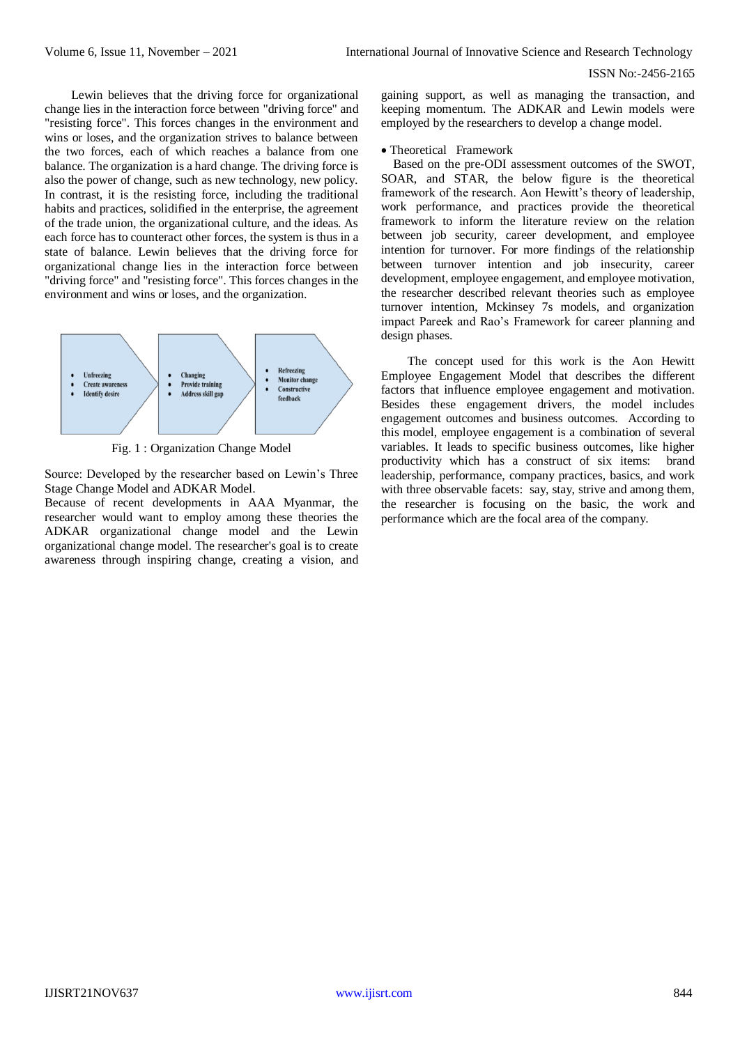Lewin believes that the driving force for organizational change lies in the interaction force between "driving force" and "resisting force". This forces changes in the environment and wins or loses, and the organization strives to balance between the two forces, each of which reaches a balance from one balance. The organization is a hard change. The driving force is also the power of change, such as new technology, new policy. In contrast, it is the resisting force, including the traditional habits and practices, solidified in the enterprise, the agreement of the trade union, the organizational culture, and the ideas. As each force has to counteract other forces, the system is thus in a state of balance. Lewin believes that the driving force for organizational change lies in the interaction force between "driving force" and "resisting force". This forces changes in the environment and wins or loses, and the organization.



Fig. 1 : Organization Change Model

Source: Developed by the researcher based on Lewin's Three Stage Change Model and ADKAR Model.

Because of recent developments in AAA Myanmar, the researcher would want to employ among these theories the ADKAR organizational change model and the Lewin organizational change model. The researcher's goal is to create awareness through inspiring change, creating a vision, and

gaining support, as well as managing the transaction, and keeping momentum. The ADKAR and Lewin models were employed by the researchers to develop a change model.

Theoretical Framework

Based on the pre-ODI assessment outcomes of the SWOT, SOAR, and STAR, the below figure is the theoretical framework of the research. Aon Hewitt's theory of leadership, work performance, and practices provide the theoretical framework to inform the literature review on the relation between job security, career development, and employee intention for turnover. For more findings of the relationship between turnover intention and job insecurity, career development, employee engagement, and employee motivation, the researcher described relevant theories such as employee turnover intention, Mckinsey 7s models, and organization impact Pareek and Rao's Framework for career planning and design phases.

The concept used for this work is the Aon Hewitt Employee Engagement Model that describes the different factors that influence employee engagement and motivation. Besides these engagement drivers, the model includes engagement outcomes and business outcomes. According to this model, employee engagement is a combination of several variables. It leads to specific business outcomes, like higher productivity which has a construct of six items: brand leadership, performance, company practices, basics, and work with three observable facets: say, stay, strive and among them, the researcher is focusing on the basic, the work and performance which are the focal area of the company.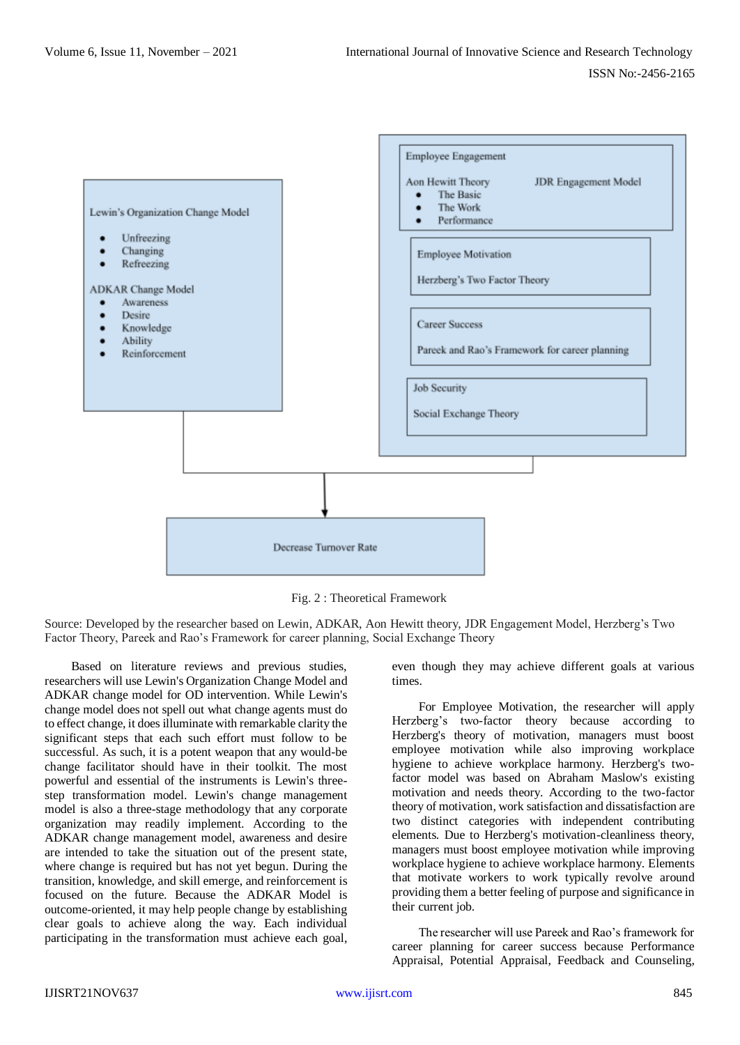

Fig. 2 : Theoretical Framework

Source: Developed by the researcher based on Lewin, ADKAR, Aon Hewitt theory, JDR Engagement Model, Herzberg's Two Factor Theory, Pareek and Rao's Framework for career planning, Social Exchange Theory

Based on literature reviews and previous studies, researchers will use Lewin's Organization Change Model and ADKAR change model for OD intervention. While Lewin's change model does not spell out what change agents must do to effect change, it does illuminate with remarkable clarity the significant steps that each such effort must follow to be successful. As such, it is a potent weapon that any would-be change facilitator should have in their toolkit. The most powerful and essential of the instruments is Lewin's threestep transformation model. Lewin's change management model is also a three-stage methodology that any corporate organization may readily implement. According to the ADKAR change management model, awareness and desire are intended to take the situation out of the present state, where change is required but has not yet begun. During the transition, knowledge, and skill emerge, and reinforcement is focused on the future. Because the ADKAR Model is outcome-oriented, it may help people change by establishing clear goals to achieve along the way. Each individual participating in the transformation must achieve each goal,

even though they may achieve different goals at various times.

For Employee Motivation, the researcher will apply Herzberg's two-factor theory because according to Herzberg's theory of motivation, managers must boost employee motivation while also improving workplace hygiene to achieve workplace harmony. Herzberg's twofactor model was based on Abraham Maslow's existing motivation and needs theory. According to the two-factor theory of motivation, work satisfaction and dissatisfaction are two distinct categories with independent contributing elements. Due to Herzberg's motivation-cleanliness theory, managers must boost employee motivation while improving workplace hygiene to achieve workplace harmony. Elements that motivate workers to work typically revolve around providing them a better feeling of purpose and significance in their current job.

The researcher will use Pareek and Rao's framework for career planning for career success because Performance Appraisal, Potential Appraisal, Feedback and Counseling,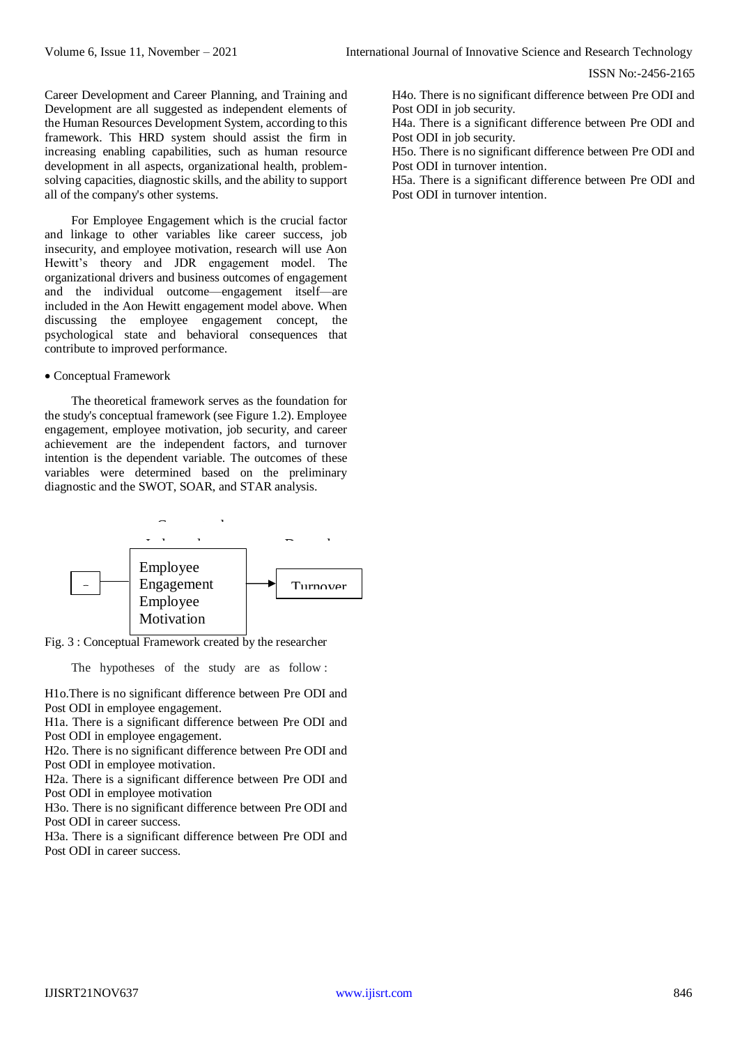Career Development and Career Planning, and Training and Development are all suggested as independent elements of the Human Resources Development System, according to this framework. This HRD system should assist the firm in increasing enabling capabilities, such as human resource development in all aspects, organizational health, problemsolving capacities, diagnostic skills, and the ability to support all of the company's other systems.

For Employee Engagement which is the crucial factor and linkage to other variables like career success, job insecurity, and employee motivation, research will use Aon Hewitt's theory and JDR engagement model. The organizational drivers and business outcomes of engagement and the individual outcome—engagement itself—are included in the Aon Hewitt engagement model above. When discussing the employee engagement concept, the psychological state and behavioral consequences that contribute to improved performance.

#### Conceptual Framework

The theoretical framework serves as the foundation for the study's conceptual framework (see Figure 1.2). Employee engagement, employee motivation, job security, and career achievement are the independent factors, and turnover intention is the dependent variable. The outcomes of these variables were determined based on the preliminary diagnostic and the SWOT, SOAR, and STAR analysis.



Fig. 3 : Conceptual Framework created by the researcher Job Security

The hypotheses of the study are as follow :

H1o.There is no significant difference between Pre ODI and Post ODI in employee engagement.

H1a. There is a significant difference between Pre ODI and Post ODI in employee engagement.

H2o. There is no significant difference between Pre ODI and Post ODI in employee motivation.

H2a. There is a significant difference between Pre ODI and Post ODI in employee motivation

H3o. There is no significant difference between Pre ODI and Post ODI in career success.

H3a. There is a significant difference between Pre ODI and Post ODI in career success.

H4o. There is no significant difference between Pre ODI and Post ODI in job security.

H4a. There is a significant difference between Pre ODI and Post ODI in job security.

H5o. There is no significant difference between Pre ODI and Post ODI in turnover intention.

H5a. There is a significant difference between Pre ODI and Post ODI in turnover intention.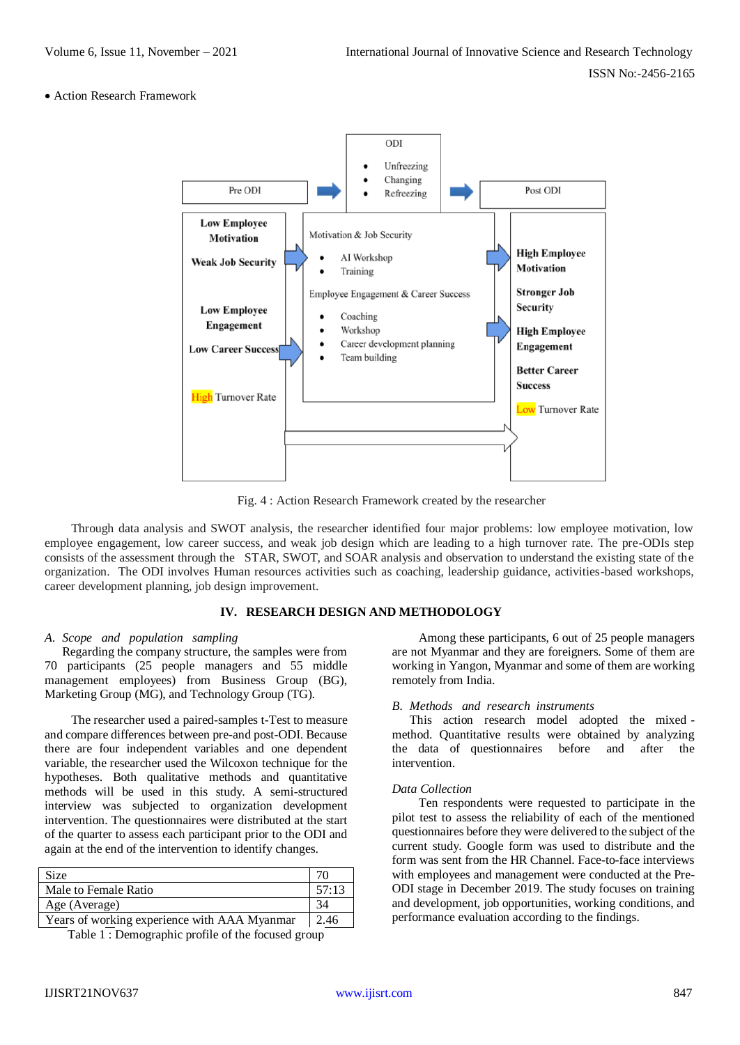### Action Research Framework



Fig. 4 : Action Research Framework created by the researcher

Through data analysis and SWOT analysis, the researcher identified four major problems: low employee motivation, low employee engagement, low career success, and weak job design which are leading to a high turnover rate. The pre-ODIs step consists of the assessment through the STAR, SWOT, and SOAR analysis and observation to understand the existing state of the organization. The ODI involves Human resources activities such as coaching, leadership guidance, activities-based workshops, career development planning, job design improvement.

## **IV. RESEARCH DESIGN AND METHODOLOGY**

#### *A. Scope and population sampling*

Regarding the company structure, the samples were from 70 participants (25 people managers and 55 middle management employees) from Business Group (BG), Marketing Group (MG), and Technology Group (TG).

The researcher used a paired-samples t-Test to measure and compare differences between pre-and post-ODI. Because there are four independent variables and one dependent variable, the researcher used the Wilcoxon technique for the hypotheses. Both qualitative methods and quantitative methods will be used in this study. A semi-structured interview was subjected to organization development intervention. The questionnaires were distributed at the start of the quarter to assess each participant prior to the ODI and again at the end of the intervention to identify changes.

| <b>Size</b>                                  |       |
|----------------------------------------------|-------|
| Male to Female Ratio                         | 57:13 |
| Age (Average)                                |       |
| Years of working experience with AAA Myanmar | 2.46  |

Table 1 : Demographic profile of the focused group

Among these participants, 6 out of 25 people managers are not Myanmar and they are foreigners. Some of them are working in Yangon, Myanmar and some of them are working remotely from India.

#### *B. Methods and research instruments*

This action research model adopted the mixed method. Quantitative results were obtained by analyzing the data of questionnaires before and after the intervention.

#### *Data Collection*

Ten respondents were requested to participate in the pilot test to assess the reliability of each of the mentioned questionnaires before they were delivered to the subject of the current study. Google form was used to distribute and the form was sent from the HR Channel. Face-to-face interviews with employees and management were conducted at the Pre-ODI stage in December 2019. The study focuses on training and development, job opportunities, working conditions, and performance evaluation according to the findings.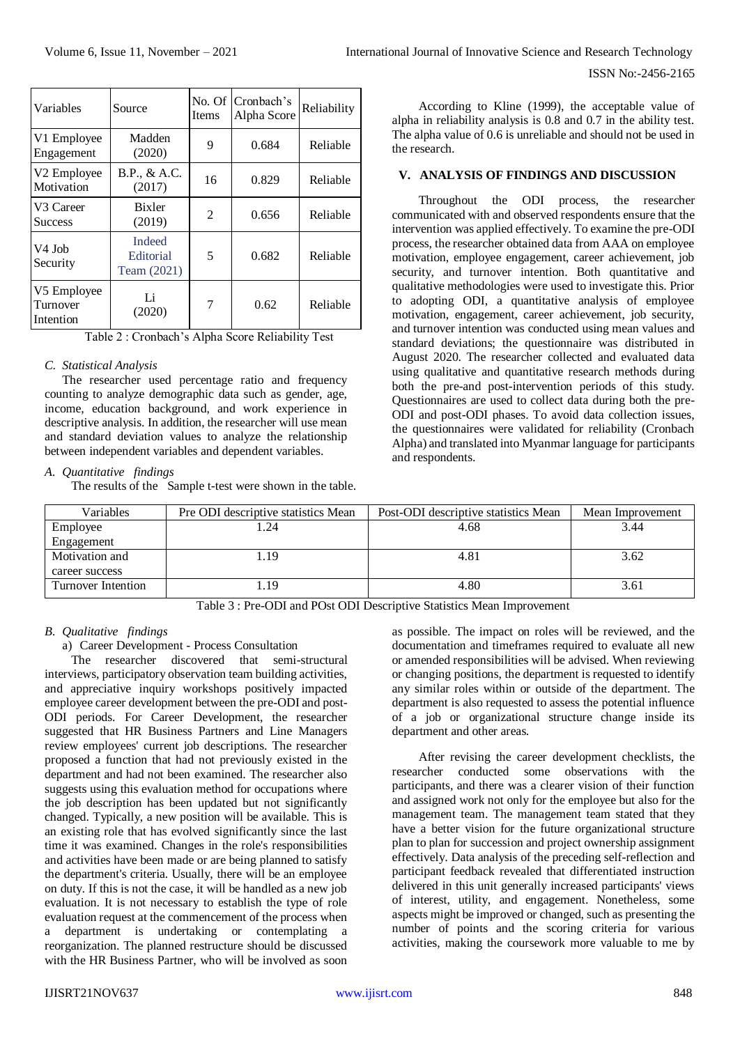| Variables                               | Source                                    | <b>Items</b> | No. Of Cronbach's<br>Alpha Score | Reliability |
|-----------------------------------------|-------------------------------------------|--------------|----------------------------------|-------------|
| V1 Employee<br>Engagement               | Madden<br>(2020)                          | 9            | 0.684                            | Reliable    |
| V <sub>2</sub> Employee<br>Motivation   | B.P., & A.C.<br>(2017)                    | 16           | 0.829                            | Reliable    |
| V <sub>3</sub> Career<br><b>Success</b> | Bixler<br>(2019)                          | 2            | 0.656                            | Reliable    |
| V <sub>4</sub> Job<br>Security          | <b>Indeed</b><br>Editorial<br>Team (2021) | 5            | 0.682                            | Reliable    |
| V5 Employee<br>Turnover<br>Intention    | Li<br>(2020)                              | 7            | 0.62                             | Reliable    |

Table 2 : Cronbach's Alpha Score Reliability Test

# *C. Statistical Analysis*

The researcher used percentage ratio and frequency counting to analyze demographic data such as gender, age, income, education background, and work experience in descriptive analysis. In addition, the researcher will use mean and standard deviation values to analyze the relationship between independent variables and dependent variables.

# *A. Quantitative findings*

The results of the Sample t-test were shown in the table.

According to Kline (1999), the acceptable value of alpha in reliability analysis is 0.8 and 0.7 in the ability test. The alpha value of 0.6 is unreliable and should not be used in the research.

## **V. ANALYSIS OF FINDINGS AND DISCUSSION**

Throughout the ODI process, the researcher communicated with and observed respondents ensure that the intervention was applied effectively. To examine the pre-ODI process, the researcher obtained data from AAA on employee motivation, employee engagement, career achievement, job security, and turnover intention. Both quantitative and qualitative methodologies were used to investigate this. Prior to adopting ODI, a quantitative analysis of employee motivation, engagement, career achievement, job security, and turnover intention was conducted using mean values and standard deviations; the questionnaire was distributed in August 2020. The researcher collected and evaluated data using qualitative and quantitative research methods during both the pre-and post-intervention periods of this study. Questionnaires are used to collect data during both the pre-ODI and post-ODI phases. To avoid data collection issues, the questionnaires were validated for reliability (Cronbach Alpha) and translated into Myanmar language for participants and respondents.

| Variables          | Pre ODI descriptive statistics Mean | Post-ODI descriptive statistics Mean | Mean Improvement |
|--------------------|-------------------------------------|--------------------------------------|------------------|
| Employee           | .24                                 | 4.68                                 | 3.44             |
| Engagement         |                                     |                                      |                  |
| Motivation and     | .19                                 | 4.81                                 | 3.62             |
| career success     |                                     |                                      |                  |
| Turnover Intention | .19                                 | 4.80                                 | 3.61             |

Table 3 : Pre-ODI and POst ODI Descriptive Statistics Mean Improvement

# *B. Qualitative findings*

a) Career Development - Process Consultation

The researcher discovered that semi-structural interviews, participatory observation team building activities, and appreciative inquiry workshops positively impacted employee career development between the pre-ODI and post-ODI periods. For Career Development, the researcher suggested that HR Business Partners and Line Managers review employees' current job descriptions. The researcher proposed a function that had not previously existed in the department and had not been examined. The researcher also suggests using this evaluation method for occupations where the job description has been updated but not significantly changed. Typically, a new position will be available. This is an existing role that has evolved significantly since the last time it was examined. Changes in the role's responsibilities and activities have been made or are being planned to satisfy the department's criteria. Usually, there will be an employee on duty. If this is not the case, it will be handled as a new job evaluation. It is not necessary to establish the type of role evaluation request at the commencement of the process when a department is undertaking or contemplating a reorganization. The planned restructure should be discussed with the HR Business Partner, who will be involved as soon

as possible. The impact on roles will be reviewed, and the documentation and timeframes required to evaluate all new or amended responsibilities will be advised. When reviewing or changing positions, the department is requested to identify any similar roles within or outside of the department. The department is also requested to assess the potential influence of a job or organizational structure change inside its department and other areas.

After revising the career development checklists, the researcher conducted some observations with the participants, and there was a clearer vision of their function and assigned work not only for the employee but also for the management team. The management team stated that they have a better vision for the future organizational structure plan to plan for succession and project ownership assignment effectively. Data analysis of the preceding self-reflection and participant feedback revealed that differentiated instruction delivered in this unit generally increased participants' views of interest, utility, and engagement. Nonetheless, some aspects might be improved or changed, such as presenting the number of points and the scoring criteria for various activities, making the coursework more valuable to me by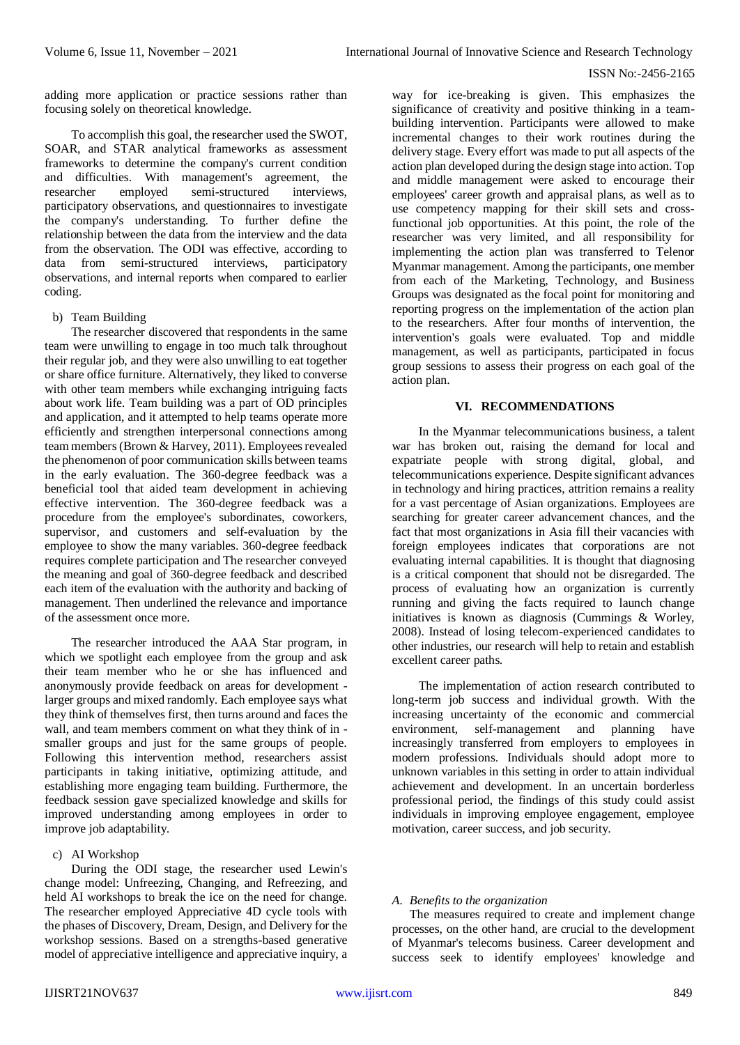adding more application or practice sessions rather than focusing solely on theoretical knowledge.

To accomplish this goal, the researcher used the SWOT, SOAR, and STAR analytical frameworks as assessment frameworks to determine the company's current condition and difficulties. With management's agreement, the researcher employed semi-structured interviews, participatory observations, and questionnaires to investigate the company's understanding. To further define the relationship between the data from the interview and the data from the observation. The ODI was effective, according to data from semi-structured interviews, participatory observations, and internal reports when compared to earlier coding.

b) Team Building

The researcher discovered that respondents in the same team were unwilling to engage in too much talk throughout their regular job, and they were also unwilling to eat together or share office furniture. Alternatively, they liked to converse with other team members while exchanging intriguing facts about work life. Team building was a part of OD principles and application, and it attempted to help teams operate more efficiently and strengthen interpersonal connections among team members (Brown & Harvey, 2011). Employees revealed the phenomenon of poor communication skills between teams in the early evaluation. The 360-degree feedback was a beneficial tool that aided team development in achieving effective intervention. The 360-degree feedback was a procedure from the employee's subordinates, coworkers, supervisor, and customers and self-evaluation by the employee to show the many variables. 360-degree feedback requires complete participation and The researcher conveyed the meaning and goal of 360-degree feedback and described each item of the evaluation with the authority and backing of management. Then underlined the relevance and importance of the assessment once more.

The researcher introduced the AAA Star program, in which we spotlight each employee from the group and ask their team member who he or she has influenced and anonymously provide feedback on areas for development larger groups and mixed randomly. Each employee says what they think of themselves first, then turns around and faces the wall, and team members comment on what they think of in smaller groups and just for the same groups of people. Following this intervention method, researchers assist participants in taking initiative, optimizing attitude, and establishing more engaging team building. Furthermore, the feedback session gave specialized knowledge and skills for improved understanding among employees in order to improve job adaptability.

c) AI Workshop

During the ODI stage, the researcher used Lewin's change model: Unfreezing, Changing, and Refreezing, and held AI workshops to break the ice on the need for change. The researcher employed Appreciative 4D cycle tools with the phases of Discovery, Dream, Design, and Delivery for the workshop sessions. Based on a strengths-based generative model of appreciative intelligence and appreciative inquiry, a

way for ice-breaking is given. This emphasizes the significance of creativity and positive thinking in a teambuilding intervention. Participants were allowed to make incremental changes to their work routines during the delivery stage. Every effort was made to put all aspects of the action plan developed during the design stage into action. Top and middle management were asked to encourage their employees' career growth and appraisal plans, as well as to use competency mapping for their skill sets and crossfunctional job opportunities. At this point, the role of the researcher was very limited, and all responsibility for implementing the action plan was transferred to Telenor Myanmar management. Among the participants, one member from each of the Marketing, Technology, and Business Groups was designated as the focal point for monitoring and reporting progress on the implementation of the action plan to the researchers. After four months of intervention, the intervention's goals were evaluated. Top and middle management, as well as participants, participated in focus group sessions to assess their progress on each goal of the action plan.

# **VI. RECOMMENDATIONS**

In the Myanmar telecommunications business, a talent war has broken out, raising the demand for local and expatriate people with strong digital, global, and telecommunications experience. Despite significant advances in technology and hiring practices, attrition remains a reality for a vast percentage of Asian organizations. Employees are searching for greater career advancement chances, and the fact that most organizations in Asia fill their vacancies with foreign employees indicates that corporations are not evaluating internal capabilities. It is thought that diagnosing is a critical component that should not be disregarded. The process of evaluating how an organization is currently running and giving the facts required to launch change initiatives is known as diagnosis (Cummings & Worley, 2008). Instead of losing telecom-experienced candidates to other industries, our research will help to retain and establish excellent career paths.

The implementation of action research contributed to long-term job success and individual growth. With the increasing uncertainty of the economic and commercial environment, self-management and planning have increasingly transferred from employers to employees in modern professions. Individuals should adopt more to unknown variables in this setting in order to attain individual achievement and development. In an uncertain borderless professional period, the findings of this study could assist individuals in improving employee engagement, employee motivation, career success, and job security.

# *A. Benefits to the organization*

The measures required to create and implement change processes, on the other hand, are crucial to the development of Myanmar's telecoms business. Career development and success seek to identify employees' knowledge and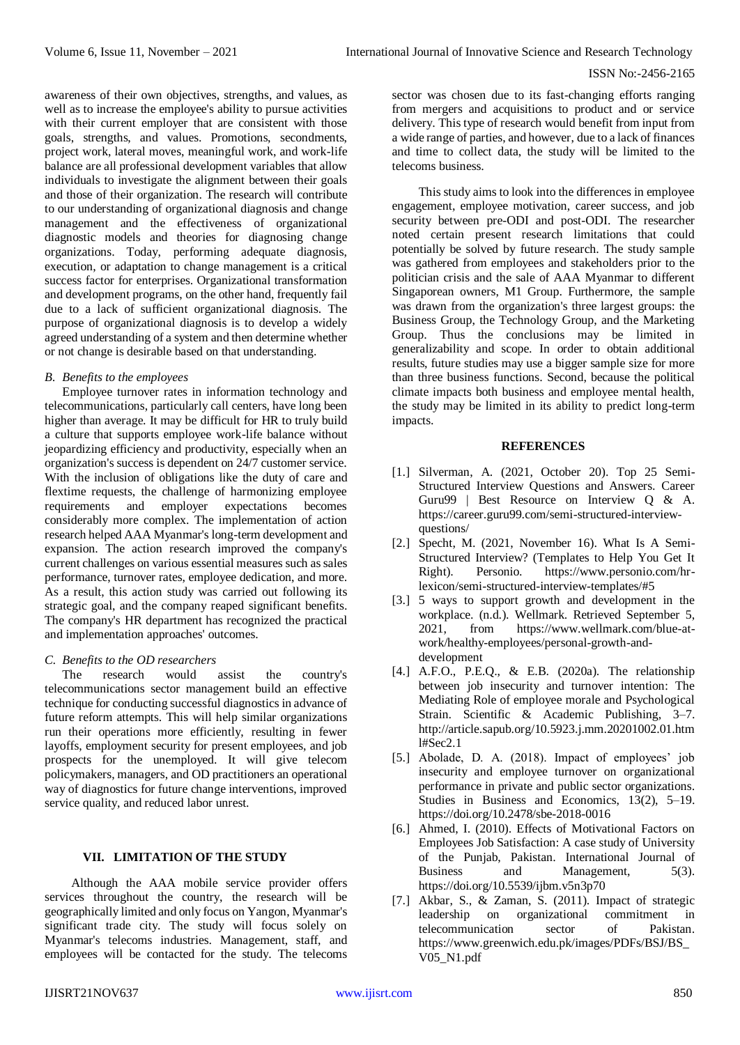awareness of their own objectives, strengths, and values, as well as to increase the employee's ability to pursue activities with their current employer that are consistent with those goals, strengths, and values. Promotions, secondments, project work, lateral moves, meaningful work, and work-life balance are all professional development variables that allow individuals to investigate the alignment between their goals and those of their organization. The research will contribute to our understanding of organizational diagnosis and change management and the effectiveness of organizational diagnostic models and theories for diagnosing change organizations. Today, performing adequate diagnosis, execution, or adaptation to change management is a critical success factor for enterprises. Organizational transformation and development programs, on the other hand, frequently fail due to a lack of sufficient organizational diagnosis. The purpose of organizational diagnosis is to develop a widely agreed understanding of a system and then determine whether or not change is desirable based on that understanding.

## *B. Benefits to the employees*

Employee turnover rates in information technology and telecommunications, particularly call centers, have long been higher than average. It may be difficult for HR to truly build a culture that supports employee work-life balance without jeopardizing efficiency and productivity, especially when an organization's success is dependent on 24/7 customer service. With the inclusion of obligations like the duty of care and flextime requests, the challenge of harmonizing employee requirements and employer expectations becomes considerably more complex. The implementation of action research helped AAA Myanmar's long-term development and expansion. The action research improved the company's current challenges on various essential measures such as sales performance, turnover rates, employee dedication, and more. As a result, this action study was carried out following its strategic goal, and the company reaped significant benefits. The company's HR department has recognized the practical and implementation approaches' outcomes.

## *C. Benefits to the OD researchers*

The research would assist the country's telecommunications sector management build an effective technique for conducting successful diagnostics in advance of future reform attempts. This will help similar organizations run their operations more efficiently, resulting in fewer layoffs, employment security for present employees, and job prospects for the unemployed. It will give telecom policymakers, managers, and OD practitioners an operational way of diagnostics for future change interventions, improved service quality, and reduced labor unrest.

## **VII. LIMITATION OF THE STUDY**

Although the AAA mobile service provider offers services throughout the country, the research will be geographically limited and only focus on Yangon, Myanmar's significant trade city. The study will focus solely on Myanmar's telecoms industries. Management, staff, and employees will be contacted for the study. The telecoms

sector was chosen due to its fast-changing efforts ranging from mergers and acquisitions to product and or service delivery. This type of research would benefit from input from a wide range of parties, and however, due to a lack of finances and time to collect data, the study will be limited to the telecoms business.

This study aims to look into the differences in employee engagement, employee motivation, career success, and job security between pre-ODI and post-ODI. The researcher noted certain present research limitations that could potentially be solved by future research. The study sample was gathered from employees and stakeholders prior to the politician crisis and the sale of AAA Myanmar to different Singaporean owners, M1 Group. Furthermore, the sample was drawn from the organization's three largest groups: the Business Group, the Technology Group, and the Marketing Group. Thus the conclusions may be limited in generalizability and scope. In order to obtain additional results, future studies may use a bigger sample size for more than three business functions. Second, because the political climate impacts both business and employee mental health, the study may be limited in its ability to predict long-term impacts.

#### **REFERENCES**

- [1.] Silverman, A. (2021, October 20). Top 25 Semi-Structured Interview Questions and Answers. Career Guru99 | Best Resource on Interview Q & A. https://career.guru99.com/semi-structured-interviewquestions/
- [2.] Specht, M. (2021, November 16). What Is A Semi-Structured Interview? (Templates to Help You Get It Right). Personio. https://www.personio.com/hrlexicon/semi-structured-interview-templates/#5
- [3.] 5 ways to support growth and development in the workplace. (n.d.). Wellmark. Retrieved September 5, 2021, from https://www.wellmark.com/blue-atwork/healthy-employees/personal-growth-anddevelopment
- [4.] A.F.O., P.E.Q., & E.B. (2020a). The relationship between job insecurity and turnover intention: The Mediating Role of employee morale and Psychological Strain. Scientific & Academic Publishing, 3–7. http://article.sapub.org/10.5923.j.mm.20201002.01.htm l#Sec2.1
- [5.] Abolade, D. A. (2018). Impact of employees' job insecurity and employee turnover on organizational performance in private and public sector organizations. Studies in Business and Economics, 13(2), 5–19. https://doi.org/10.2478/sbe-2018-0016
- [6.] Ahmed, I. (2010). Effects of Motivational Factors on Employees Job Satisfaction: A case study of University of the Punjab, Pakistan. International Journal of Business and Management, 5(3). https://doi.org/10.5539/ijbm.v5n3p70
- [7.] Akbar, S., & Zaman, S. (2011). Impact of strategic leadership on organizational commitment in telecommunication sector of Pakistan. https://www.greenwich.edu.pk/images/PDFs/BSJ/BS\_ V05\_N1.pdf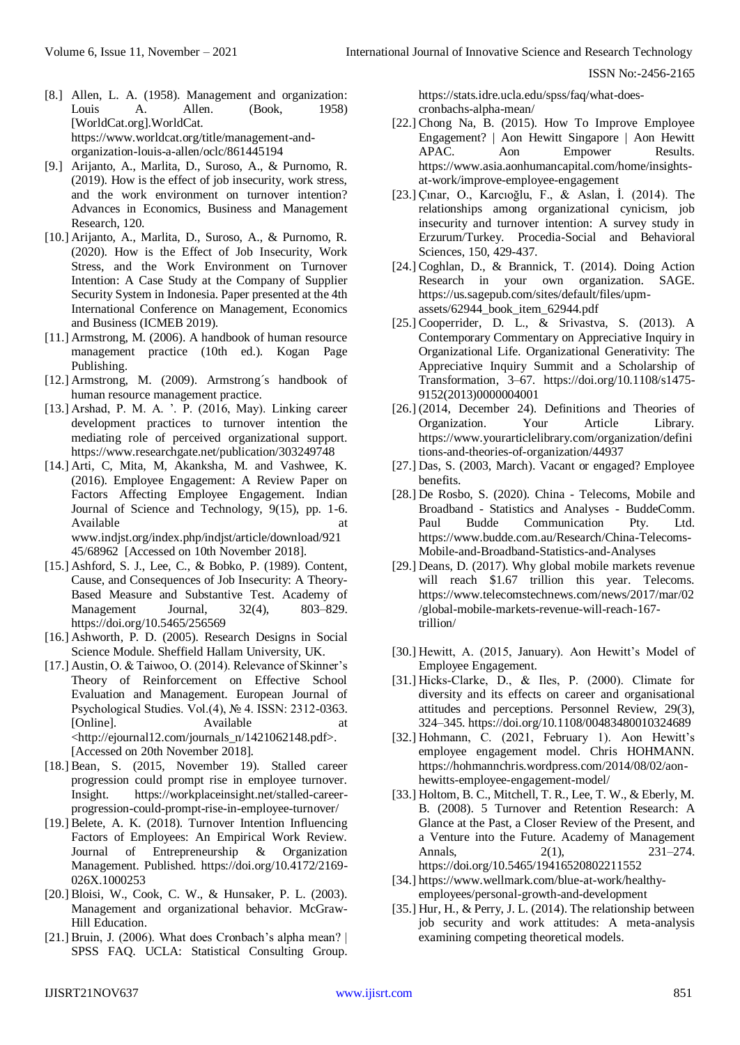- [8.] Allen, L. A. (1958). Management and organization: Louis A. Allen. (Book, 1958) [WorldCat.org].WorldCat. https://www.worldcat.org/title/management-andorganization-louis-a-allen/oclc/861445194
- [9.] Arijanto, A., Marlita, D., Suroso, A., & Purnomo, R. (2019). How is the effect of job insecurity, work stress, and the work environment on turnover intention? Advances in Economics, Business and Management Research, 120.
- [10.] Arijanto, A., Marlita, D., Suroso, A., & Purnomo, R. (2020). How is the Effect of Job Insecurity, Work Stress, and the Work Environment on Turnover Intention: A Case Study at the Company of Supplier Security System in Indonesia. Paper presented at the 4th International Conference on Management, Economics and Business (ICMEB 2019).
- [11.] Armstrong, M. (2006). A handbook of human resource management practice (10th ed.). Kogan Page Publishing.
- [12.] Armstrong, M. (2009). Armstrong´s handbook of human resource management practice.
- [13.] Arshad, P. M. A. '. P. (2016, May). Linking career development practices to turnover intention the mediating role of perceived organizational support. https://www.researchgate.net/publication/303249748
- [14.] Arti, C, Mita, M, Akanksha, M. and Vashwee, K. (2016). Employee Engagement: A Review Paper on Factors Affecting Employee Engagement. Indian Journal of Science and Technology, 9(15), pp. 1-6. Available at a state of  $\alpha$  at a state at a state of  $\alpha$  at a state of  $\alpha$  at a state of  $\alpha$  at a state of  $\alpha$  at a state of  $\alpha$  at a state of  $\alpha$  at a state of  $\alpha$  at a state of  $\alpha$  at a state of  $\alpha$  at a state www.indjst.org/index.php/indjst/article/download/921 45/68962 [Accessed on 10th November 2018].
- [15.] Ashford, S. J., Lee, C., & Bobko, P. (1989). Content, Cause, and Consequences of Job Insecurity: A Theory-Based Measure and Substantive Test. Academy of Management Journal, 32(4), 803–829. https://doi.org/10.5465/256569
- [16.] Ashworth, P. D. (2005). Research Designs in Social Science Module. Sheffield Hallam University, UK.
- [17.] Austin, O. & Taiwoo, O. (2014). Relevance of Skinner's Theory of Reinforcement on Effective School Evaluation and Management. European Journal of Psychological Studies. Vol.(4), № 4. ISSN: 2312-0363. [Online]. Available at <http://ejournal12.com/journals\_n/1421062148.pdf>. [Accessed on 20th November 2018].
- [18.] Bean, S. (2015, November 19). Stalled career progression could prompt rise in employee turnover. Insight. https://workplaceinsight.net/stalled-careerprogression-could-prompt-rise-in-employee-turnover/
- [19.] Belete, A. K. (2018). Turnover Intention Influencing Factors of Employees: An Empirical Work Review. Journal of Entrepreneurship & Organization Management. Published. https://doi.org/10.4172/2169- 026X.1000253
- [20.] Bloisi, W., Cook, C. W., & Hunsaker, P. L. (2003). Management and organizational behavior. McGraw-Hill Education.
- [21.] Bruin, J. (2006). What does Cronbach's alpha mean? | SPSS FAQ. UCLA: Statistical Consulting Group.

https://stats.idre.ucla.edu/spss/faq/what-doescronbachs-alpha-mean/

- [22.] Chong Na, B. (2015). How To Improve Employee Engagement? | Aon Hewitt Singapore | Aon Hewitt APAC. Aon Empower Results. https://www.asia.aonhumancapital.com/home/insightsat-work/improve-employee-engagement
- [23.] Çınar, O., Karcıoğlu, F., & Aslan, İ. (2014). The relationships among organizational cynicism, job insecurity and turnover intention: A survey study in Erzurum/Turkey. Procedia-Social and Behavioral Sciences, 150, 429-437.
- [24.] Coghlan, D., & Brannick, T. (2014). Doing Action Research in your own organization. SAGE. https://us.sagepub.com/sites/default/files/upmassets/62944\_book\_item\_62944.pdf
- [25.] Cooperrider, D. L., & Srivastva, S. (2013). A Contemporary Commentary on Appreciative Inquiry in Organizational Life. Organizational Generativity: The Appreciative Inquiry Summit and a Scholarship of Transformation, 3–67. https://doi.org/10.1108/s1475- 9152(2013)0000004001
- [26.] (2014, December 24). Definitions and Theories of Organization. Your Article Library. https://www.yourarticlelibrary.com/organization/defini tions-and-theories-of-organization/44937
- [27.] Das, S. (2003, March). Vacant or engaged? Employee benefits.
- [28.] De Rosbo, S. (2020). China Telecoms, Mobile and Broadband - Statistics and Analyses - BuddeComm. Paul Budde Communication Pty. Ltd. https://www.budde.com.au/Research/China-Telecoms-Mobile-and-Broadband-Statistics-and-Analyses
- [29.] Deans, D. (2017). Why global mobile markets revenue will reach \$1.67 trillion this year. Telecoms. https://www.telecomstechnews.com/news/2017/mar/02 /global-mobile-markets-revenue-will-reach-167 trillion/
- [30.] Hewitt, A. (2015, January). Aon Hewitt's Model of Employee Engagement.
- [31.] Hicks‐Clarke, D., & Iles, P. (2000). Climate for diversity and its effects on career and organisational attitudes and perceptions. Personnel Review, 29(3), 324–345. https://doi.org/10.1108/00483480010324689
- [32.] Hohmann, C. (2021, February 1). Aon Hewitt's employee engagement model. Chris HOHMANN. https://hohmannchris.wordpress.com/2014/08/02/aonhewitts-employee-engagement-model/
- [33.] Holtom, B. C., Mitchell, T. R., Lee, T. W., & Eberly, M. B. (2008). 5 Turnover and Retention Research: A Glance at the Past, a Closer Review of the Present, and a Venture into the Future. Academy of Management Annals, 2(1), 231–274. https://doi.org/10.5465/19416520802211552
- [34.] https://www.wellmark.com/blue-at-work/healthyemployees/personal-growth-and-development
- [35.] Hur, H., & Perry, J. L. (2014). The relationship between job security and work attitudes: A meta-analysis examining competing theoretical models.